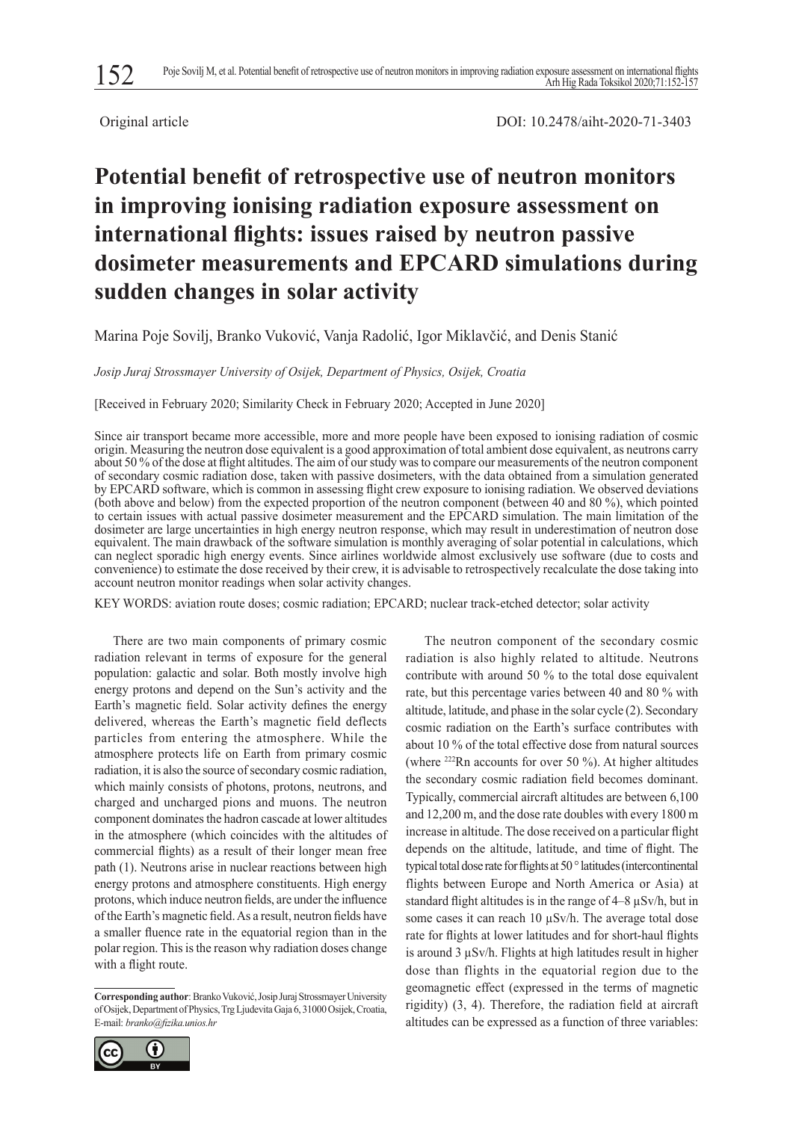

Original article DOI: 10.2478/aiht-2020-71-3403

# **Potential benefit of retrospective use of neutron monitors in improving ionising radiation exposure assessment on international flights: issues raised by neutron passive dosimeter measurements and EPCARD simulations during sudden changes in solar activity**

Marina Poje Sovilj, Branko Vuković, Vanja Radolić, Igor Miklavčić, and Denis Stanić

*Josip Juraj Strossmayer University of Osijek, Department of Physics, Osijek, Croatia*

[Received in February 2020; Similarity Check in February 2020; Accepted in June 2020]

Since air transport became more accessible, more and more people have been exposed to ionising radiation of cosmic origin. Measuring the neutron dose equivalent is a good approximation of total ambient dose equivalent, as neutrons carry about 50 % of the dose at flight altitudes. The aim of our study was to compare our measurements of the neutron component of secondary cosmic radiation dose, taken with passive dosimeters, with the data obtained from a simulation generated by EPCARD software, which is common in assessing flight crew exposure to ionising radiation. We observed deviations (both above and below) from the expected proportion of the neutron component (between 40 and 80 %), which pointed to certain issues with actual passive dosimeter measurement and the EPCARD simulation. The main limitation of the dosimeter are large uncertainties in high energy neutron response, which may result in underestimation of neutron dose equivalent. The main drawback of the software simulation is monthly averaging of solar potential in calculations, which can neglect sporadic high energy events. Since airlines worldwide almost exclusively use software (due to costs and convenience) to estimate the dose received by their crew, it is advisable to retrospectively recalculate the dose taking into account neutron monitor readings when solar activity changes.

KEY WORDS: aviation route doses; cosmic radiation; EPCARD; nuclear track-etched detector; solar activity

There are two main components of primary cosmic radiation relevant in terms of exposure for the general population: galactic and solar. Both mostly involve high energy protons and depend on the Sun's activity and the Earth's magnetic field. Solar activity defines the energy delivered, whereas the Earth's magnetic field deflects particles from entering the atmosphere. While the atmosphere protects life on Earth from primary cosmic radiation, it is also the source of secondary cosmic radiation, which mainly consists of photons, protons, neutrons, and charged and uncharged pions and muons. The neutron component dominates the hadron cascade at lower altitudes in the atmosphere (which coincides with the altitudes of commercial flights) as a result of their longer mean free path (1). Neutrons arise in nuclear reactions between high energy protons and atmosphere constituents. High energy protons, which induce neutron fields, are under the influence of the Earth's magnetic field. As a result, neutron fields have a smaller fluence rate in the equatorial region than in the polar region. This is the reason why radiation doses change with a flight route.

**Corresponding author**: Branko Vuković, Josip Juraj Strossmayer University of Osijek, Department of Physics, Trg Ljudevita Gaja 6, 31000 Osijek, Croatia, E-mail: *branko@fizika.unios.hr*



The neutron component of the secondary cosmic radiation is also highly related to altitude. Neutrons contribute with around 50 % to the total dose equivalent rate, but this percentage varies between 40 and 80 % with altitude, latitude, and phase in the solar cycle (2). Secondary cosmic radiation on the Earth's surface contributes with about 10 % of the total effective dose from natural sources (where  $^{222}$ Rn accounts for over 50 %). At higher altitudes the secondary cosmic radiation field becomes dominant. Typically, commercial aircraft altitudes are between 6,100 and 12,200 m, and the dose rate doubles with every 1800 m increase in altitude. The dose received on a particular flight depends on the altitude, latitude, and time of flight. The typical total dose rate for flights at 50° latitudes (intercontinental flights between Europe and North America or Asia) at standard flight altitudes is in the range of 4–8 µSv/h, but in some cases it can reach 10  $\mu$ Sv/h. The average total dose rate for flights at lower latitudes and for short-haul flights is around 3 µSv/h. Flights at high latitudes result in higher dose than flights in the equatorial region due to the geomagnetic effect (expressed in the terms of magnetic rigidity) (3, 4). Therefore, the radiation field at aircraft altitudes can be expressed as a function of three variables: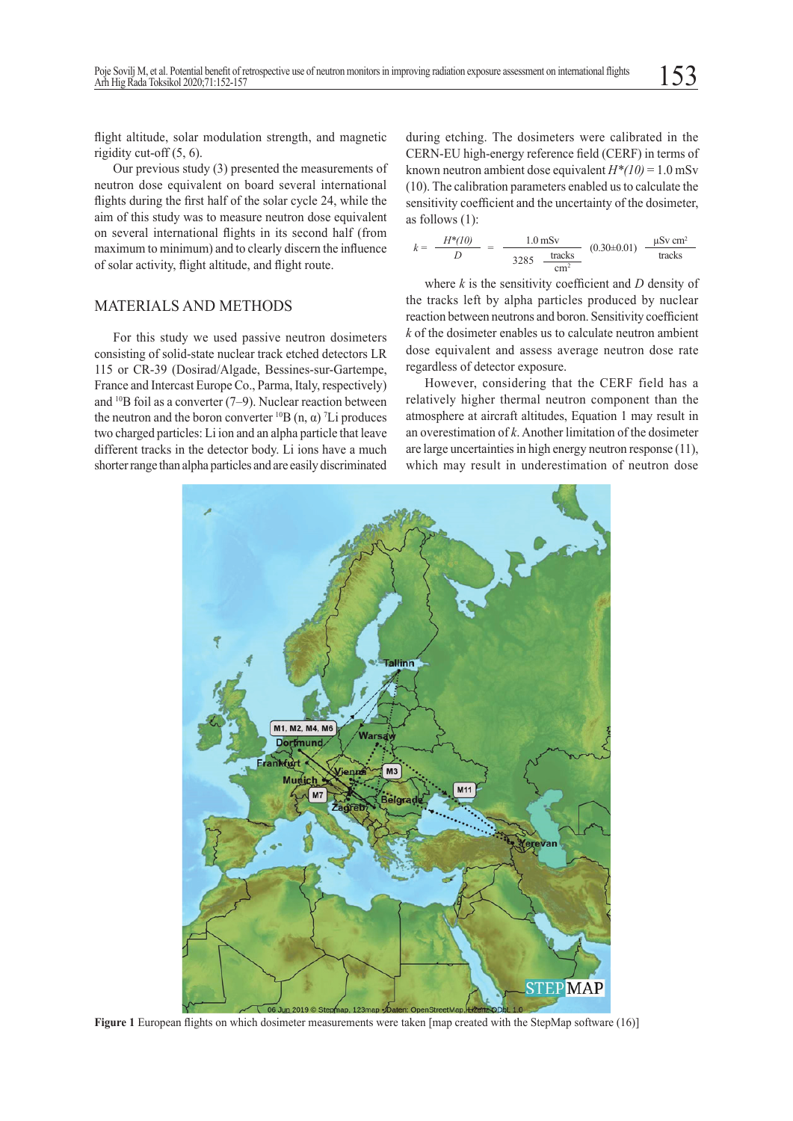flight altitude, solar modulation strength, and magnetic rigidity cut-off (5, 6).

Our previous study (3) presented the measurements of neutron dose equivalent on board several international flights during the first half of the solar cycle 24, while the aim of this study was to measure neutron dose equivalent on several international flights in its second half (from maximum to minimum) and to clearly discern the influence of solar activity, flight altitude, and flight route.

#### MATERIALS AND METHODS

For this study we used passive neutron dosimeters consisting of solid-state nuclear track etched detectors LR 115 or CR-39 (Dosirad/Algade, Bessines-sur-Gartempe, France and Intercast Europe Co., Parma, Italy, respectively) and <sup>10</sup>B foil as a converter (7–9). Nuclear reaction between the neutron and the boron converter  ${}^{10}B(n, α)$  <sup>7</sup>Li produces two charged particles: Li ion and an alpha particle that leave different tracks in the detector body. Li ions have a much shorter range than alpha particles and are easily discriminated

during etching. The dosimeters were calibrated in the CERN-EU high-energy reference field (CERF) in terms of known neutron ambient dose equivalent  $H^*(10) = 1.0$  mSv (10). The calibration parameters enabled us to calculate the sensitivity coefficient and the uncertainty of the dosimeter, as follows (1):

$$
k = \frac{H^{*}(10)}{D} = \frac{1.0 \text{ mSv}}{3285 \frac{\text{tracks}}{\text{cm}^2}} (0.30 \pm 0.01) \frac{\mu \text{Sv cm}^2}{\text{tracks}}
$$

where *k* is the sensitivity coefficient and *D* density of the tracks left by alpha particles produced by nuclear reaction between neutrons and boron. Sensitivity coefficient *k* of the dosimeter enables us to calculate neutron ambient dose equivalent and assess average neutron dose rate regardless of detector exposure.

However, considering that the CERF field has a relatively higher thermal neutron component than the atmosphere at aircraft altitudes, Equation 1 may result in an overestimation of *k*. Another limitation of the dosimeter are large uncertainties in high energy neutron response (11), which may result in underestimation of neutron dose



**Figure 1** European flights on which dosimeter measurements were taken [map created with the StepMap software (16)]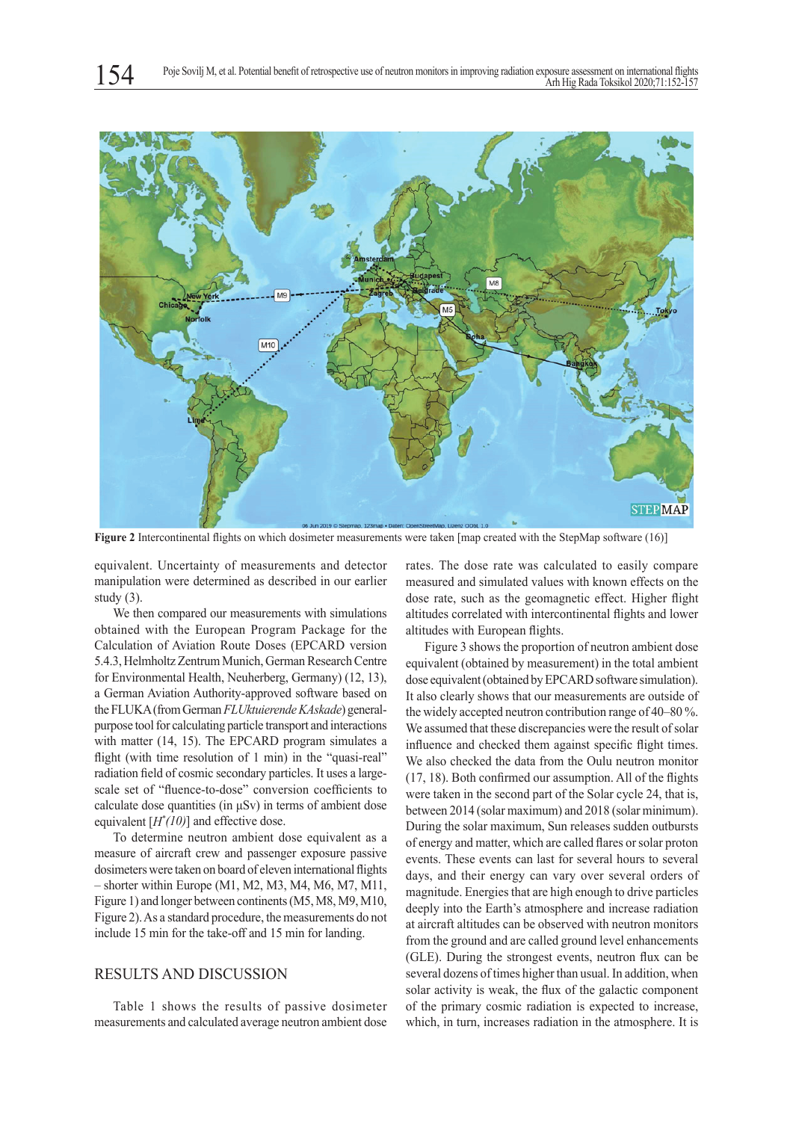

**Figure 2** Intercontinental flights on which dosimeter measurements were taken [map created with the StepMap software (16)]

equivalent. Uncertainty of measurements and detector manipulation were determined as described in our earlier study (3).

We then compared our measurements with simulations obtained with the European Program Package for the Calculation of Aviation Route Doses (EPCARD version 5.4.3, Helmholtz Zentrum Munich, German Research Centre for Environmental Health, Neuherberg, Germany) (12, 13), a German Aviation Authority-approved software based on the FLUKA (from German *FLUktuierende KAskade*) generalpurpose tool for calculating particle transport and interactions with matter (14, 15). The EPCARD program simulates a flight (with time resolution of 1 min) in the "quasi-real" radiation field of cosmic secondary particles. It uses a largescale set of "fluence-to-dose" conversion coefficients to calculate dose quantities (in  $\mu Sv$ ) in terms of ambient dose equivalent [*H\* (10)*] and effective dose.

To determine neutron ambient dose equivalent as a measure of aircraft crew and passenger exposure passive dosimeters were taken on board of eleven international flights – shorter within Europe (M1, M2, M3, M4, M6, M7, M11, Figure 1) and longer between continents (M5, M8, M9, M10, Figure 2). As a standard procedure, the measurements do not include 15 min for the take-off and 15 min for landing.

### RESULTS AND DISCUSSION

Table 1 shows the results of passive dosimeter measurements and calculated average neutron ambient dose rates. The dose rate was calculated to easily compare measured and simulated values with known effects on the dose rate, such as the geomagnetic effect. Higher flight altitudes correlated with intercontinental flights and lower altitudes with European flights.

Figure 3 shows the proportion of neutron ambient dose equivalent (obtained by measurement) in the total ambient dose equivalent (obtained by EPCARD software simulation). It also clearly shows that our measurements are outside of the widely accepted neutron contribution range of 40–80 %. We assumed that these discrepancies were the result of solar influence and checked them against specific flight times. We also checked the data from the Oulu neutron monitor (17, 18). Both confirmed our assumption. All of the flights were taken in the second part of the Solar cycle 24, that is, between 2014 (solar maximum) and 2018 (solar minimum). During the solar maximum, Sun releases sudden outbursts of energy and matter, which are called flares or solar proton events. These events can last for several hours to several days, and their energy can vary over several orders of magnitude. Energies that are high enough to drive particles deeply into the Earth's atmosphere and increase radiation at aircraft altitudes can be observed with neutron monitors from the ground and are called ground level enhancements (GLE). During the strongest events, neutron flux can be several dozens of times higher than usual. In addition, when solar activity is weak, the flux of the galactic component of the primary cosmic radiation is expected to increase, which, in turn, increases radiation in the atmosphere. It is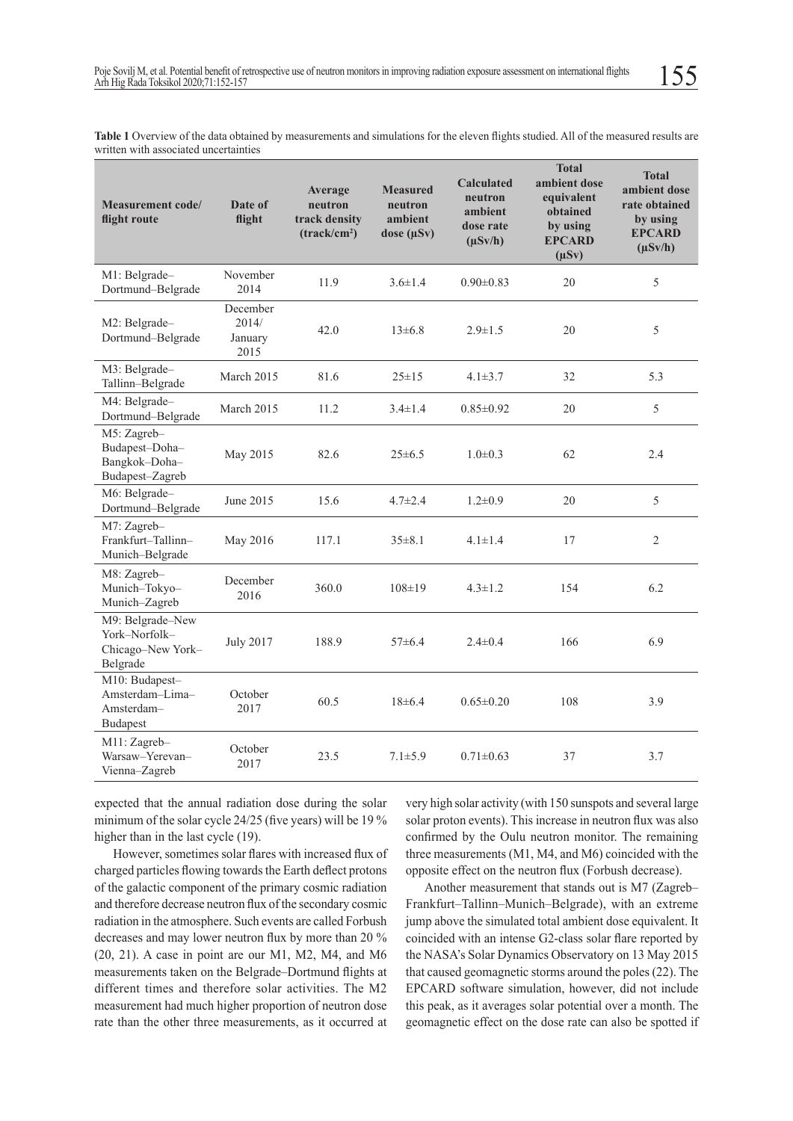**Table 1** Overview of the data obtained by measurements and simulations for the eleven flights studied. All of the measured results are written with associated uncertainties

| <b>Measurement code/</b><br>flight route                           | Date of<br>flight                    | Average<br>neutron<br>track density<br>(track/cm <sup>2</sup> ) | <b>Measured</b><br>neutron<br>ambient<br>dose $(\mu Sv)$ | <b>Calculated</b><br>neutron<br>ambient<br>dose rate<br>$(\mu Sv/h)$ | <b>Total</b><br>ambient dose<br>equivalent<br>obtained<br>by using<br><b>EPCARD</b><br>$(\mu Sv)$ | <b>Total</b><br>ambient dose<br>rate obtained<br>by using<br><b>EPCARD</b><br>$(\mu Sv/h)$ |
|--------------------------------------------------------------------|--------------------------------------|-----------------------------------------------------------------|----------------------------------------------------------|----------------------------------------------------------------------|---------------------------------------------------------------------------------------------------|--------------------------------------------------------------------------------------------|
| M1: Belgrade-<br>Dortmund-Belgrade                                 | November<br>2014                     | 11.9                                                            | $3.6 \pm 1.4$                                            | $0.90 \pm 0.83$                                                      | 20                                                                                                | 5                                                                                          |
| M2: Belgrade-<br>Dortmund-Belgrade                                 | December<br>2014/<br>January<br>2015 | 42.0                                                            | $13\pm 6.8$                                              | $2.9 \pm 1.5$                                                        | 20                                                                                                | 5                                                                                          |
| M3: Belgrade-<br>Tallinn-Belgrade                                  | March 2015                           | 81.6                                                            | $25 \pm 15$                                              | $4.1 \pm 3.7$                                                        | 32                                                                                                | 5.3                                                                                        |
| M4: Belgrade-<br>Dortmund-Belgrade                                 | March 2015                           | 11.2                                                            | $3.4 \pm 1.4$                                            | $0.85 \pm 0.92$                                                      | 20                                                                                                | 5                                                                                          |
| M5: Zagreb-<br>Budapest-Doha-<br>Bangkok-Doha-<br>Budapest-Zagreb  | May 2015                             | 82.6                                                            | $25 \pm 6.5$                                             | $1.0 \pm 0.3$                                                        | 62                                                                                                | 2.4                                                                                        |
| M6: Belgrade-<br>Dortmund-Belgrade                                 | June 2015                            | 15.6                                                            | $4.7 \pm 2.4$                                            | $1.2 \pm 0.9$                                                        | 20                                                                                                | 5                                                                                          |
| M7: Zagreb-<br>Frankfurt-Tallinn-<br>Munich-Belgrade               | May 2016                             | 117.1                                                           | $35 \pm 8.1$                                             | $4.1 \pm 1.4$                                                        | 17                                                                                                | $\overline{2}$                                                                             |
| M8: Zagreb-<br>Munich-Tokyo-<br>Munich-Zagreb                      | December<br>2016                     | 360.0                                                           | $108 \pm 19$                                             | $4.3 \pm 1.2$                                                        | 154                                                                                               | 6.2                                                                                        |
| M9: Belgrade-New<br>York-Norfolk-<br>Chicago-New York-<br>Belgrade | <b>July 2017</b>                     | 188.9                                                           | $57 \pm 6.4$                                             | $2.4 \pm 0.4$                                                        | 166                                                                                               | 6.9                                                                                        |
| M10: Budapest-<br>Amsterdam-Lima-<br>Amsterdam-<br><b>Budapest</b> | October<br>2017                      | 60.5                                                            | $18 \pm 6.4$                                             | $0.65 \pm 0.20$                                                      | 108                                                                                               | 3.9                                                                                        |
| M11: Zagreb-<br>Warsaw-Yerevan-<br>Vienna-Zagreb                   | October<br>2017                      | 23.5                                                            | $7.1 \pm 5.9$                                            | $0.71 \pm 0.63$                                                      | 37                                                                                                | 3.7                                                                                        |

expected that the annual radiation dose during the solar minimum of the solar cycle 24/25 (five years) will be 19 % higher than in the last cycle (19).

However, sometimes solar flares with increased flux of charged particles flowing towards the Earth deflect protons of the galactic component of the primary cosmic radiation and therefore decrease neutron flux of the secondary cosmic radiation in the atmosphere. Such events are called Forbush decreases and may lower neutron flux by more than 20 % (20, 21). A case in point are our M1, M2, M4, and M6 measurements taken on the Belgrade–Dortmund flights at different times and therefore solar activities. The M2 measurement had much higher proportion of neutron dose rate than the other three measurements, as it occurred at

very high solar activity (with 150 sunspots and several large solar proton events). This increase in neutron flux was also confirmed by the Oulu neutron monitor. The remaining three measurements (M1, M4, and M6) coincided with the opposite effect on the neutron flux (Forbush decrease).

Another measurement that stands out is M7 (Zagreb– Frankfurt–Tallinn–Munich–Belgrade), with an extreme jump above the simulated total ambient dose equivalent. It coincided with an intense G2-class solar flare reported by the NASA's Solar Dynamics Observatory on 13 May 2015 that caused geomagnetic storms around the poles (22). The EPCARD software simulation, however, did not include this peak, as it averages solar potential over a month. The geomagnetic effect on the dose rate can also be spotted if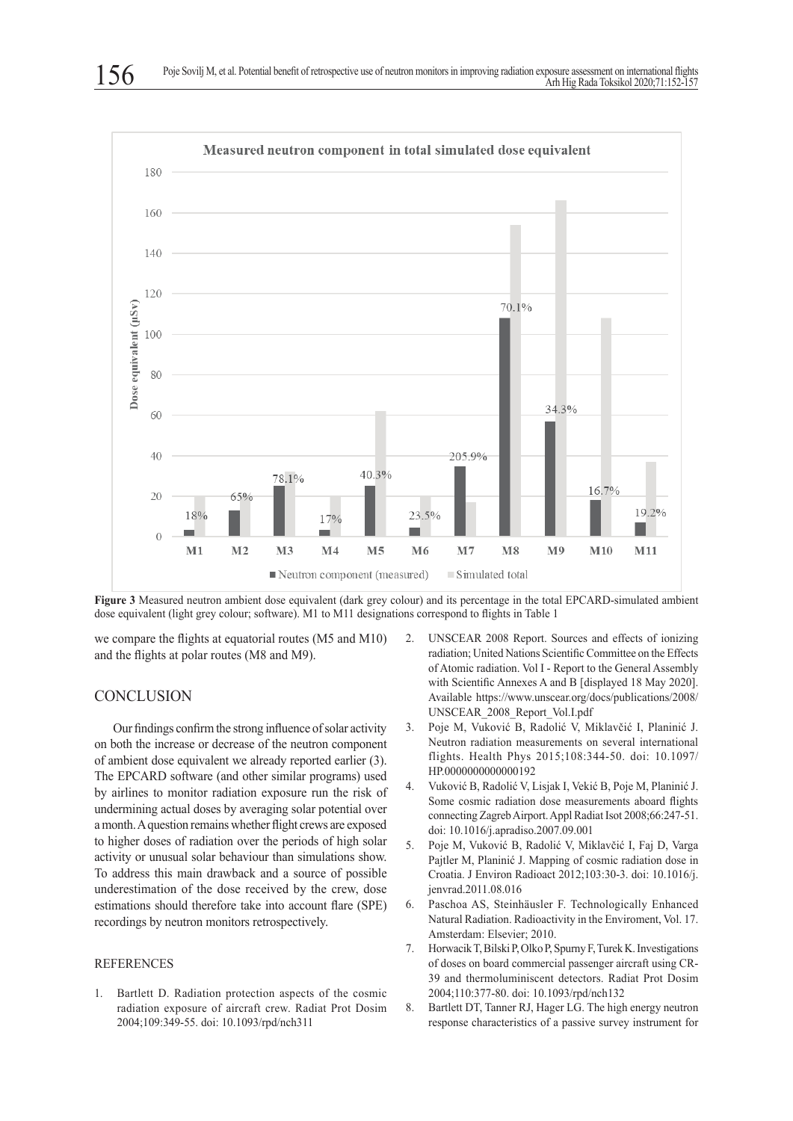

**Figure 3** Measured neutron ambient dose equivalent (dark grey colour) and its percentage in the total EPCARD-simulated ambient dose equivalent (light grey colour; software). M1 to M11 designations correspond to flights in Table 1

we compare the flights at equatorial routes (M5 and M10) and the flights at polar routes (M8 and M9).

## **CONCLUSION**

Our findings confirm the strong influence of solar activity on both the increase or decrease of the neutron component of ambient dose equivalent we already reported earlier (3). The EPCARD software (and other similar programs) used by airlines to monitor radiation exposure run the risk of undermining actual doses by averaging solar potential over a month. A question remains whether flight crews are exposed to higher doses of radiation over the periods of high solar activity or unusual solar behaviour than simulations show. To address this main drawback and a source of possible underestimation of the dose received by the crew, dose estimations should therefore take into account flare (SPE) recordings by neutron monitors retrospectively.

#### REFERENCES

1. Bartlett D. Radiation protection aspects of the cosmic radiation exposure of aircraft crew. Radiat Prot Dosim 2004;109:349-55. doi: 10.1093/rpd/nch311

- 2. UNSCEAR 2008 Report. Sources and effects of ionizing radiation; United Nations Scientific Committee on the Effects of Atomic radiation. Vol I - Report to the General Assembly with Scientific Annexes A and B [displayed 18 May 2020]. Available https://www.unscear.org/docs/publications/2008/ UNSCEAR\_2008\_Report\_Vol.I.pdf
- 3. Poje M, Vuković B, Radolić V, Miklavčić I, Planinić J. Neutron radiation measurements on several international flights. Health Phys 2015;108:344-50. doi: 10.1097/ HP.0000000000000192
- 4. Vuković B, Radolić V, Lisjak I, Vekić B, Poje M, Planinić J. Some cosmic radiation dose measurements aboard flights connecting Zagreb Airport. Appl Radiat Isot 2008;66:247-51. doi: 10.1016/j.apradiso.2007.09.001
- 5. Poje M, Vuković B, Radolić V, Miklavčić I, Faj D, Varga Pajtler M, Planinić J. Mapping of cosmic radiation dose in Croatia. J Environ Radioact 2012;103:30-3. doi: 10.1016/j. jenvrad.2011.08.016
- 6. Paschoa AS, Steinhäusler F. Technologically Enhanced Natural Radiation. Radioactivity in the Enviroment, Vol. 17. Amsterdam: Elsevier; 2010.
- 7. Horwacik T, Bilski P, Olko P, Spurny F, Turek K. Investigations of doses on board commercial passenger aircraft using CR-39 and thermoluminiscent detectors. Radiat Prot Dosim 2004;110:377-80. doi: 10.1093/rpd/nch132
- 8. Bartlett DT, Tanner RJ, Hager LG. The high energy neutron response characteristics of a passive survey instrument for